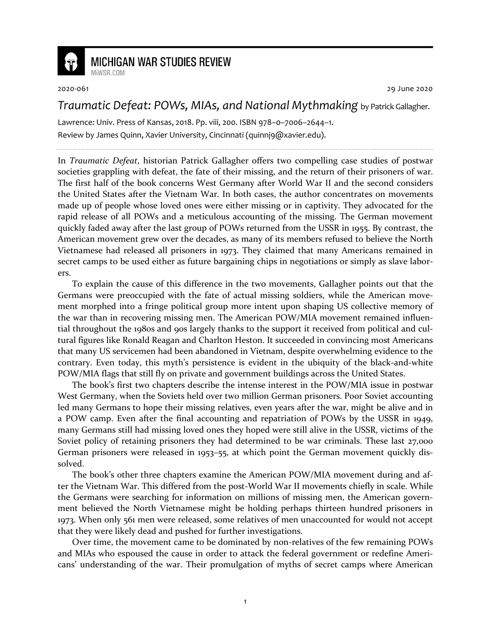

## **MICHIGAN WAR STUDIES REVIEW**

MiWSR COM

2020-061 29 June 2020

## *Traumatic Defeat: POWs, MIAs, and National Mythmaking* by Patrick Gallagher.

Lawrence: Univ. Press of Kansas, 2018. Pp. viii, 200. ISBN 978–0–7006–2644–1. Review by James Quinn, Xavier University, Cincinnati (quinnj9@xavier.edu).

In *Traumatic Defeat*, historian Patrick Gallagher offers two compelling case studies of postwar societies grappling with defeat, the fate of their missing, and the return of their prisoners of war. The first half of the book concerns West Germany after World War II and the second considers the United States after the Vietnam War. In both cases, the author concentrates on movements made up of people whose loved ones were either missing or in captivity. They advocated for the rapid release of all POWs and a meticulous accounting of the missing. The German movement quickly faded away after the last group of POWs returned from the USSR in 1955. By contrast, the American movement grew over the decades, as many of its members refused to believe the North Vietnamese had released all prisoners in 1973. They claimed that many Americans remained in secret camps to be used either as future bargaining chips in negotiations or simply as slave laborers.

To explain the cause of this difference in the two movements, Gallagher points out that the Germans were preoccupied with the fate of actual missing soldiers, while the American movement morphed into a fringe political group more intent upon shaping US collective memory of the war than in recovering missing men. The American POW/MIA movement remained influential throughout the 1980s and 90s largely thanks to the support it received from political and cultural figures like Ronald Reagan and Charlton Heston. It succeeded in convincing most Americans that many US servicemen had been abandoned in Vietnam, despite overwhelming evidence to the contrary. Even today, this myth's persistence is evident in the ubiquity of the black-and-white POW/MIA flags that still fly on private and government buildings across the United States.

The book's first two chapters describe the intense interest in the POW/MIA issue in postwar West Germany, when the Soviets held over two million German prisoners. Poor Soviet accounting led many Germans to hope their missing relatives, even years after the war, might be alive and in a POW camp. Even after the final accounting and repatriation of POWs by the USSR in 1949, many Germans still had missing loved ones they hoped were still alive in the USSR, victims of the Soviet policy of retaining prisoners they had determined to be war criminals. These last 27,000 German prisoners were released in 1953–55, at which point the German movement quickly dissolved.

The book's other three chapters examine the American POW/MIA movement during and after the Vietnam War. This differed from the post-World War II movements chiefly in scale. While the Germans were searching for information on millions of missing men, the American government believed the North Vietnamese might be holding perhaps thirteen hundred prisoners in 1973. When only 561 men were released, some relatives of men unaccounted for would not accept that they were likely dead and pushed for further investigations.

Over time, the movement came to be dominated by non-relatives of the few remaining POWs and MIAs who espoused the cause in order to attack the federal government or redefine Americans' understanding of the war. Their promulgation of myths of secret camps where American